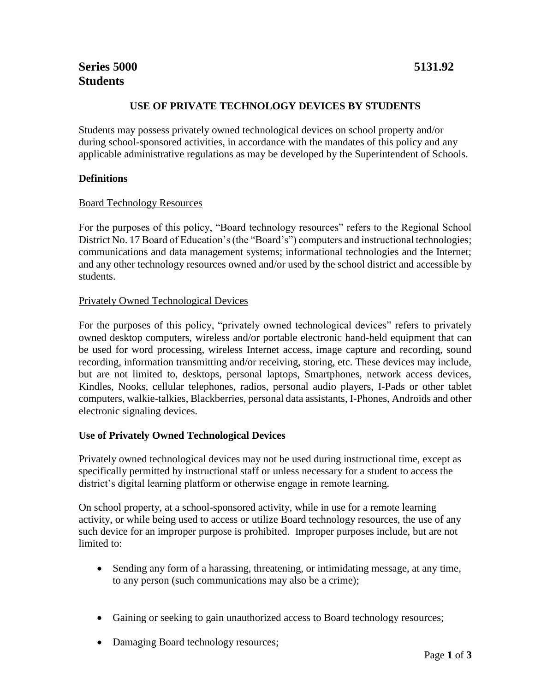### **USE OF PRIVATE TECHNOLOGY DEVICES BY STUDENTS**

Students may possess privately owned technological devices on school property and/or during school-sponsored activities, in accordance with the mandates of this policy and any applicable administrative regulations as may be developed by the Superintendent of Schools.

#### **Definitions**

#### Board Technology Resources

For the purposes of this policy, "Board technology resources" refers to the Regional School District No. 17 Board of Education's (the "Board's") computers and instructional technologies; communications and data management systems; informational technologies and the Internet; and any other technology resources owned and/or used by the school district and accessible by students.

#### Privately Owned Technological Devices

For the purposes of this policy, "privately owned technological devices" refers to privately owned desktop computers, wireless and/or portable electronic hand-held equipment that can be used for word processing, wireless Internet access, image capture and recording, sound recording, information transmitting and/or receiving, storing, etc. These devices may include, but are not limited to, desktops, personal laptops, Smartphones, network access devices, Kindles, Nooks, cellular telephones, radios, personal audio players, I-Pads or other tablet computers, walkie-talkies, Blackberries, personal data assistants, I-Phones, Androids and other electronic signaling devices.

#### **Use of Privately Owned Technological Devices**

Privately owned technological devices may not be used during instructional time, except as specifically permitted by instructional staff or unless necessary for a student to access the district's digital learning platform or otherwise engage in remote learning.

On school property, at a school-sponsored activity, while in use for a remote learning activity, or while being used to access or utilize Board technology resources, the use of any such device for an improper purpose is prohibited. Improper purposes include, but are not limited to:

- Sending any form of a harassing, threatening, or intimidating message, at any time, to any person (such communications may also be a crime);
- Gaining or seeking to gain unauthorized access to Board technology resources;
- Damaging Board technology resources;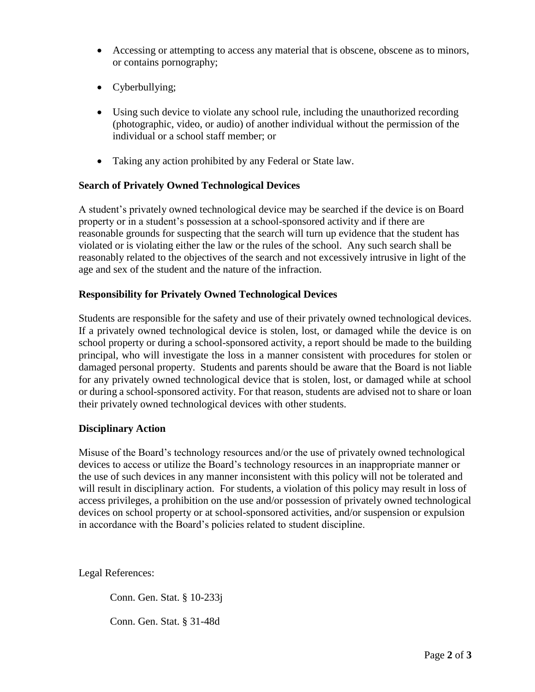- Accessing or attempting to access any material that is obscene, obscene as to minors, or contains pornography;
- Cyberbullying;
- Using such device to violate any school rule, including the unauthorized recording (photographic, video, or audio) of another individual without the permission of the individual or a school staff member; or
- Taking any action prohibited by any Federal or State law.

# **Search of Privately Owned Technological Devices**

A student's privately owned technological device may be searched if the device is on Board property or in a student's possession at a school-sponsored activity and if there are reasonable grounds for suspecting that the search will turn up evidence that the student has violated or is violating either the law or the rules of the school. Any such search shall be reasonably related to the objectives of the search and not excessively intrusive in light of the age and sex of the student and the nature of the infraction.

### **Responsibility for Privately Owned Technological Devices**

Students are responsible for the safety and use of their privately owned technological devices. If a privately owned technological device is stolen, lost, or damaged while the device is on school property or during a school-sponsored activity, a report should be made to the building principal, who will investigate the loss in a manner consistent with procedures for stolen or damaged personal property. Students and parents should be aware that the Board is not liable for any privately owned technological device that is stolen, lost, or damaged while at school or during a school-sponsored activity. For that reason, students are advised not to share or loan their privately owned technological devices with other students.

# **Disciplinary Action**

Misuse of the Board's technology resources and/or the use of privately owned technological devices to access or utilize the Board's technology resources in an inappropriate manner or the use of such devices in any manner inconsistent with this policy will not be tolerated and will result in disciplinary action. For students, a violation of this policy may result in loss of access privileges, a prohibition on the use and/or possession of privately owned technological devices on school property or at school-sponsored activities, and/or suspension or expulsion in accordance with the Board's policies related to student discipline.

Legal References:

Conn. Gen. Stat. § 10-233j

Conn. Gen. Stat. § 31-48d